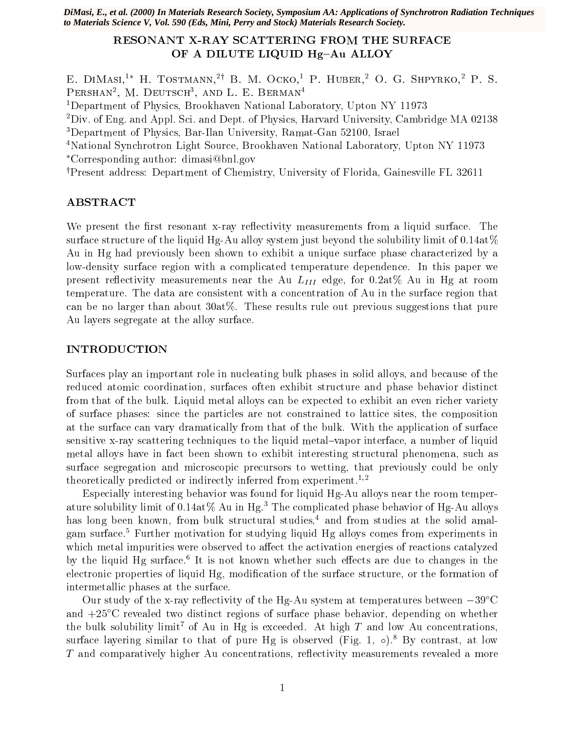*DiMasi, E., et al. (2000) In Materials Research Society, Symposium AA: Applications of Synchrotron Radiation Techniques to Materials Science V, Vol. 590 (Eds, Mini, Perry and Stock) Materials Research Society.*

# RESONANT X-RAY SCATTERING FROM THE SURFACE OF A DILUTE LIQUID Hg-Au ALLOY

E. DIMASI,<sup>1</sup>\* H. TOSTMANN,<sup>2†</sup> B. M. OCKO,<sup>1</sup> P. HUBER,<sup>2</sup> O. G. SHPYRKO,<sup>2</sup> P. S. FERSHAN , M. DEUISCH , AND L. E. DERMAN , AND L. E. DERMAN

1Department of Physics, Brookhaven National Laboratory, Upton NY 11973

2Div. of Eng. and Appl. Sci. and Dept. of Physics, Harvard University, Cambridge MA 02138

3Department of Physics, Bar-Ilan University, Ramat-Gan 52100, Israel

4National Synchrotron Light Source, Brookhaven National Laboratory, Upton NY 11973 Corresponding author: dimasi@bnl.gov

<sup>†</sup>Present address: Department of Chemistry, University of Florida, Gainesville FL 32611

### ABSTRACT

We present the first resonant x-ray reflectivity measurements from a liquid surface. The surface structure of the liquid Hg-Au alloy system just beyond the solubility limit of  $0.14 \text{at} \%$ Au in Hg had previously been shown to exhibit a unique surface phase characterized by a low-density surface region with a complicated temperature dependence. In this paper we present recovering measurements near the Au LIII edge, for 0.2at% Au in Hg at rooms Au in He temperature. The data are consistent with a concentration of Au in the surface region that can be no larger than about  $30a\frac{1}{6}$ . These results rule out previous suggestions that pure Au layers segregate at the alloy surface.

### INTRODUCTION

Surfaces play an important role in nucleating bulk phases in solid alloys, and because of the reduced atomic coordination, surfaces often exhibit structure and phase behavior distinct from that of the bulk. Liquid metal alloys can be expected to exhibit an even richer variety of surface phases: since the particles are not constrained to lattice sites, the composition at the surface can vary dramatically from that of the bulk. With the application of surface sensitive x-ray scattering techniques to the liquid metal-vapor interface, a number of liquid metal alloys have in fact been shown to exhibit interesting structural phenomena, such as surface segregation and microscopic precursors to wetting, that previously could be only theoretically predicted or indirectly inferred from experiment.<sup>1,2</sup>

Especially interesting behavior was found for liquid Hg-Au alloys near the room temperature solubility limit of  $0.14at\%$  Au in Hg.<sup>3</sup> The complicated phase behavior of Hg-Au alloys has long been known, from bulk structural studies,<sup>4</sup> and from studies at the solid amalgam surface.5 Further motivation for studying liquid Hg alloys comes from experiments in which metal impurities were observed to affect the activation energies of reactions catalyzed by the liquid Hg surface. It is not known whether such effects are due to changes in the electronic properties of liquid Hg, modification of the surface structure, or the formation of intermetallic phases at the surface.

Our study of the x-ray reflectivity of the Hg-Au system at temperatures between  $-39^{\circ}$ C and  $+25^{\circ}$ C revealed two distinct regions of surface phase behavior, depending on whether the bulk solubility limit<sup>7</sup> of Au in Hg is exceeded. At high  $T$  and low Au concentrations, surface layering similar to that of pure Hg is observed (Fig. 1,  $\circ$ ).<sup>8</sup> By contrast, at low T and comparatively higher Au concentrations, reflectivity measurements revealed a more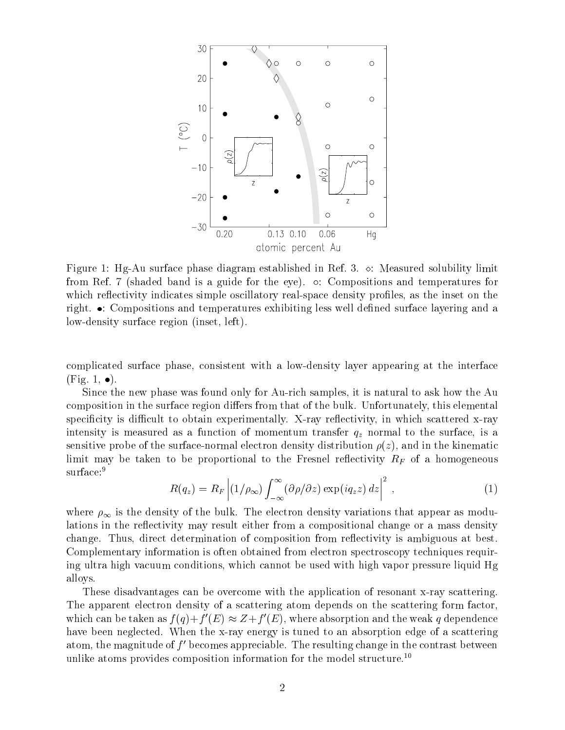

Figure 1: Hg-Au surface phase diagram established in Ref. 3.  $\circ$ : Measured solubility limit from Ref. 7 (shaded band is a guide for the eye).  $\circ$ : Compositions and temperatures for which reflectivity indicates simple oscillatory real-space density profiles, as the inset on the right.  $\bullet$ : Compositions and temperatures exhibiting less well defined surface layering and a low-density surface region (inset, left).

complicated surface phase, consistent with a low-density layer appearing at the interface  $(Fig. 1, \bullet).$ 

Since the new phase was found only for Au-rich samples, it is natural to ask how the Au composition in the surface region differs from that of the bulk. Unfortunately, this elemental specificity is difficult to obtain experimentally. X-ray reflectivity, in which scattered x-ray intersity is measured as an an function of momentum transfer  $\gamma_L$  normal to the surface, is an internal to the surface, in sensitive probe of the surface-normal electron density distribution  $\rho(z)$ , and in the kinematic limit may be taken to be proportional to the Fresnel re
ectivity RF of <sup>a</sup> homogeneous surface:<sup>9</sup>

$$
R(q_z) = R_F \left| (1/\rho_{\infty}) \int_{-\infty}^{\infty} (\partial \rho/\partial z) \exp(iq_z z) dz \right|^2 , \qquad (1)
$$

where  $\rho_{\infty}$  is the density of the bulk. The electron density variations that appear as modulations in the reflectivity may result either from a compositional change or a mass density change. Thus, direct determination of composition from reflectivity is ambiguous at best. Complementary information is often obtained from electron spectroscopy techniques requiring ultra high vacuum conditions, which cannot be used with high vapor pressure liquid Hg alloys.

These disadvantages can be overcome with the application of resonant x-ray scattering. The apparent electron density of a scattering atom depends on the scattering form factor, which can be taken as  $f(q)+f(E)\approx Z+f(E)$ , where absorption and the weak q dependence have been neglected. When the x-ray energy is tuned to an absorption edge of a scattering atom, the magnitude of  $f'$  becomes appreciable. The resulting change in the contrast between unlike atoms provides composition information for the model structure.<sup>10</sup>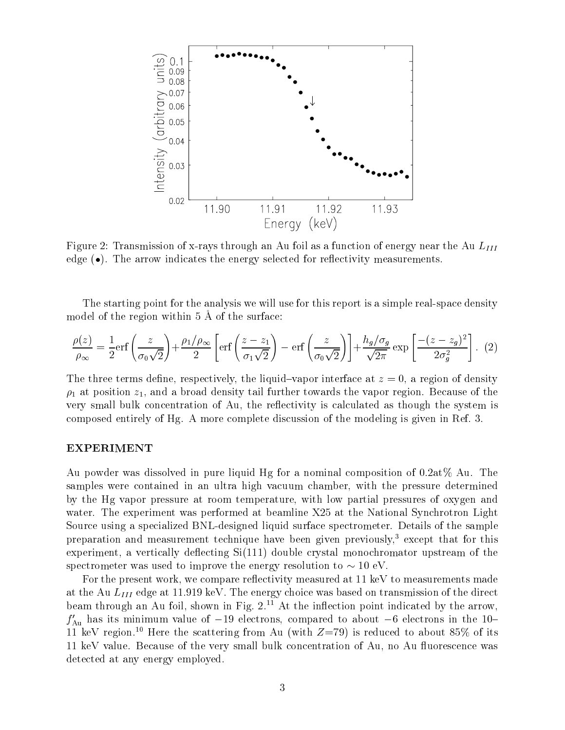

Figure 2: Transmission of x-rays through an Au foil as a function of energy near the Au  $L_{III}$ edge  $\bullet$ ). The arrow indicates the energy selected for reflectivity measurements.

The starting point for the analysis we will use for this report is a simple real-space density model of the region within 5 A of the surface:

$$
\frac{\rho(z)}{\rho_{\infty}} = \frac{1}{2} \text{erf}\left(\frac{z}{\sigma_0 \sqrt{2}}\right) + \frac{\rho_1/\rho_{\infty}}{2} \left[ \text{erf}\left(\frac{z - z_1}{\sigma_1 \sqrt{2}}\right) - \text{erf}\left(\frac{z}{\sigma_0 \sqrt{2}}\right) \right] + \frac{h_g/\sigma_g}{\sqrt{2\pi}} \exp\left[\frac{-(z - z_g)^2}{2\sigma_g^2}\right].
$$
 (2)

The three terms define, respectively, the liquid-vapor interface at  $z = 0$ , a region of density  $\rho_1$  at position  $z_1$ , and a broad density tail further towards the vapor region. Because of the very small bulk concentration of Au, the reflectivity is calculated as though the system is composed entirely of Hg. A more complete discussion of the modeling is given in Ref. 3.

### EXPERIMENT

Au powder was dissolved in pure liquid Hg for a nominal composition of  $0.2at\%$  Au. The samples were contained in an ultra high vacuum chamber, with the pressure determined by the Hg vapor pressure at room temperature, with low partial pressures of oxygen and water. The experiment was performed at beamline X25 at the National Synchrotron Light Source using a specialized BNL-designed liquid surface spectrometer. Details of the sample preparation and measurement technique have been given previously,<sup>3</sup> except that for this experiment, a vertically deflecting  $Si(111)$  double crystal monochromator upstream of the spectrometer was used to improve the energy resolution to  $\sim 10 \text{ eV}$ .

For the present work, we compare reflectivity measured at 11 keV to measurements made at the August Cau Liii edge at 11.919 keV. The energy choice was based on the distribution of the direction of beam through an Au foil, shown in Fig.  $2^{11}$  At the inflection point indicated by the arrow,  $f'_{\text{Au}}$  has its minimum value of -19 electrons, compared to about -6 electrons in the 10-11 keV region.<sup>10</sup> Here the scattering from Au (with  $Z=79$ ) is reduced to about 85% of its 11 keV value. Because of the very small bulk concentration of Au, no Au uorescence was detected at any energy employed.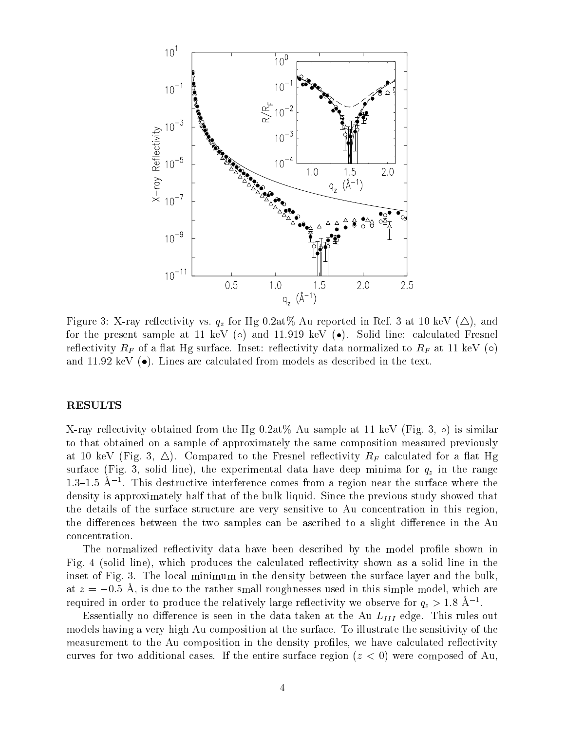

Figure 3: X-ray re
ectivity vs. qz for Hg 0.2at% Au reported in Ref. <sup>3</sup> at <sup>10</sup> keV (4), and for the present sample at 11 keV ( $\circ$ ) and 11.919 keV ( $\bullet$ ). Solid line: calculated Fresnel respectivity RF surface. Inset: respective to RF at 11 keV () which we respect to RF at 11 keV () () () () () ( and 11.92 keV  $\bullet$ ). Lines are calculated from models as described in the text.

### RESULTS

X-ray reflectivity obtained from the Hg  $0.2at\%$  Au sample at 11 keV (Fig. 3,  $\circ$ ) is similar to that obtained on a sample of approximately the same composition measured previously at 10 keV (Fig. 3). Compared to the Fresher's restricts of a specifically resourced for a fig. 10 keV surface (Fig. 3, solid line), the experimental data have deep minima for  $\mathcal{U}$  in the range deep minima for  $\mathcal{U}$  $1.5{\text{--}}1.5$  A  $1.1$  and destructive interference comes from a region near the surface where the density is approximately half that of the bulk liquid. Since the previous study showed that the details of the surface structure are very sensitive to Au concentration in this region, the differences between the two samples can be ascribed to a slight difference in the Au concentration.

The normalized reflectivity data have been described by the model profile shown in Fig. 4 (solid line), which produces the calculated reflectivity shown as a solid line in the inset of Fig. 3. The local minimum in the density between the surface layer and the bulk. at  $z = -0.5$  Å, is due to the rather small roughnesses used in this simple model, which are required in order to produce the relatively large reflectivity we observe for  $q_z >$  1.8 A  $^{-1}$ .

 $\blacksquare$  is seen in the data taken in the data taken at the data taken at the  $\blacksquare$  is  $\blacksquare$  and  $\blacksquare$  . This rules out the  $\blacksquare$ models having a very high Au composition at the surface. To illustrate the sensitivity of the measurement to the Au composition in the density profiles, we have calculated reflectivity curves for two additional cases. If the entire surface region  $(z < 0)$  were composed of Au,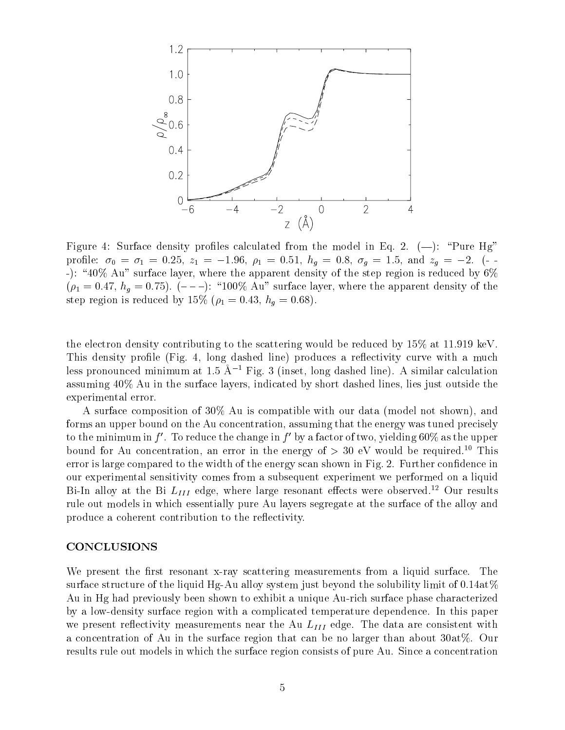

Figure 4: Surface density profiles calculated from the model in Eq. 2.  $(-)$ : "Pure Hg" profile:  $\sigma_0 = \sigma_1 = 0.25$ ,  $z_1 = -1.96$ ,  $\rho_1 = 0.51$ ,  $h_g = 0.8$ ,  $\sigma_g = 1.5$ , and  $z_g = -2$ . (--): "40% Au" surface layer, where the apparent density of the step region is reduced by  $6\%$  $(\rho_1 = 0.47, h_g = 0.75)$ .  $(- - -)$ : "100% Au" surface layer, where the apparent density of the step region is reduced by 15% ( $\rho_1 = 0.43$ ,  $h_q = 0.68$ ).

the electron density contributing to the scattering would be reduced by 15% at 11.919 keV. This density profile (Fig. 4, long dashed line) produces a reflectivity curve with a much less pronounced minimum at 1.5  $\rm \AA^{-1}$  Fig. 3 (inset, long dashed line). A similar calculation assuming 40% Au in the surface layers, indicated by short dashed lines, lies just outside the experimental error.

A surface composition of 30% Au is compatible with our data (model not shown), and forms an upper bound on the Au concentration, assuming that the energy was tuned precisely to the minimum in f'. To reduce the change in f' by a factor of two, yielding  $60\%$  as the upper bound for Au concentration, an error in the energy of  $> 30$  eV would be required.<sup>10</sup> This error is large compared to the width of the energy scan shown in Fig. 2. Further confidence in our experimental sensitivity comes from a subsequent experiment we performed on a liquid  $D$ i-In alloy at the  $D$ i  $L_{III}$  edge, where large resonant effects were observed. Tour results rule out models in which essentially pure Au layers segregate at the surface of the alloy and produce a coherent contribution to the reflectivity.

#### CONCLUSIONS

We present the first resonant x-ray scattering measurements from a liquid surface. The surface structure of the liquid Hg-Au alloy system just beyond the solubility limit of  $0.14 \text{at} \%$ Au in Hg had previously been shown to exhibit a unique Au-rich surface phase characterized by a low-density surface region with a complicated temperature dependence. In this paper we present reserve the  $\gamma$  measurement measurement near the  $\pm 111$  empire. The data are consistent with  $\sim$ a concentration of Au in the surface region that can be no larger than about 30at%. Our results rule out models in which the surface region consists of pure Au. Since a concentration